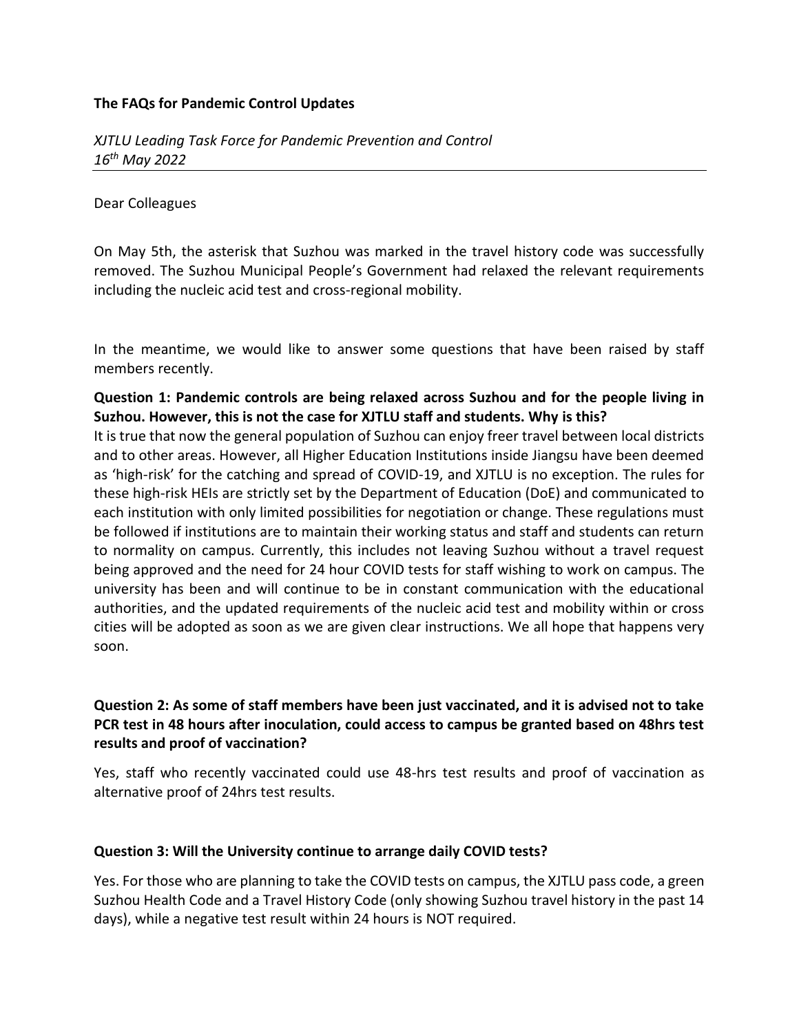### **The FAQs for Pandemic Control Updates**

#### Dear Colleagues

On May 5th, the asterisk that Suzhou was marked in the travel history code was successfully removed. The Suzhou Municipal People's Government had relaxed the relevant requirements including the nucleic acid test and cross-regional mobility.

In the meantime, we would like to answer some questions that have been raised by staff members recently.

## **Question 1: Pandemic controls are being relaxed across Suzhou and for the people living in Suzhou. However, this is not the case for XJTLU staff and students. Why is this?**

It is true that now the general population of Suzhou can enjoy freer travel between local districts and to other areas. However, all Higher Education Institutions inside Jiangsu have been deemed as 'high-risk' for the catching and spread of COVID-19, and XJTLU is no exception. The rules for these high-risk HEIs are strictly set by the Department of Education (DoE) and communicated to each institution with only limited possibilities for negotiation or change. These regulations must be followed if institutions are to maintain their working status and staff and students can return to normality on campus. Currently, this includes not leaving Suzhou without a travel request being approved and the need for 24 hour COVID tests for staff wishing to work on campus. The university has been and will continue to be in constant communication with the educational authorities, and the updated requirements of the nucleic acid test and mobility within or cross cities will be adopted as soon as we are given clear instructions. We all hope that happens very soon.

## **Question 2: As some of staff members have been just vaccinated, and it is advised not to take PCR test in 48 hours after inoculation, could access to campus be granted based on 48hrs test results and proof of vaccination?**

Yes, staff who recently vaccinated could use 48-hrs test results and proof of vaccination as alternative proof of 24hrs test results.

### **Question 3: Will the University continue to arrange daily COVID tests?**

Yes. For those who are planning to take the COVID tests on campus, the XJTLU pass code, a green Suzhou Health Code and a Travel History Code (only showing Suzhou travel history in the past 14 days), while a negative test result within 24 hours is NOT required.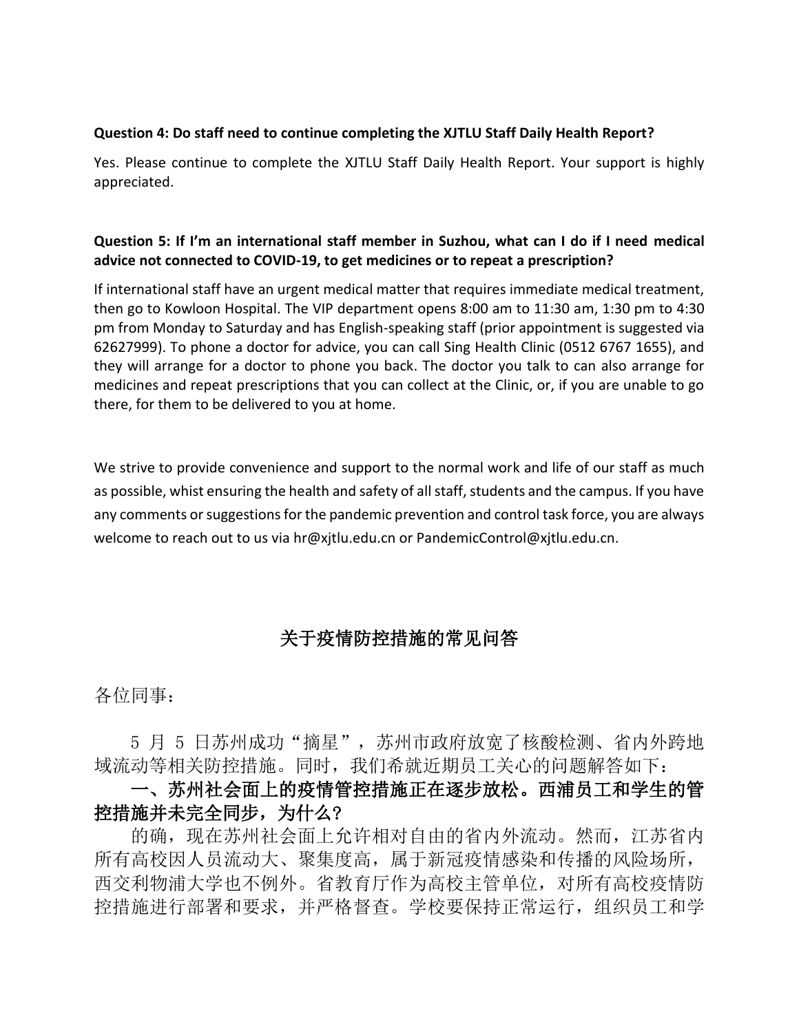#### **Question 4: Do staff need to continue completing the XJTLU Staff Daily Health Report?**

Yes. Please continue to complete the XJTLU Staff Daily Health Report. Your support is highly appreciated.

## **Question 5: If I'm an international staff member in Suzhou, what can I do if I need medical advice not connected to COVID-19, to get medicines or to repeat a prescription?**

If international staff have an urgent medical matter that requires immediate medical treatment, then go to Kowloon Hospital. The VIP department opens 8:00 am to 11:30 am, 1:30 pm to 4:30 pm from Monday to Saturday and has English-speaking staff (prior appointment is suggested via 62627999). To phone a doctor for advice, you can call Sing Health Clinic (0512 6767 1655), and they will arrange for a doctor to phone you back. The doctor you talk to can also arrange for medicines and repeat prescriptions that you can collect at the Clinic, or, if you are unable to go there, for them to be delivered to you at home.

We strive to provide convenience and support to the normal work and life of our staff as much as possible, whist ensuring the health and safety of all staff, students and the campus. If you have any comments or suggestions for the pandemic prevention and control task force, you are always welcome to reach out to us via hr@xjtlu.edu.cn or PandemicControl@xjtlu.edu.cn.

# 关于疫情防控措施的常见问答

各位同事:

5 月 5 日苏州成功"摘星",苏州市政府放宽了核酸检测、省内外跨地 域流动等相关防控措施。同时,我们希就近期员工关心的问题解答如下:

一、苏州社会面上的疫情管控措施正在逐步放松。西浦员工和学生的管 控措施并未完全同步,为什么?

的确,现在苏州社会面上允许相对自由的省内外流动。然而,江苏省内 所有高校因人员流动大、聚集度高,属于新冠疫情感染和传播的风险场所, 西交利物浦大学也不例外。省教育厅作为高校主管单位,对所有高校疫情防 控措施进行部署和要求,并严格督查。学校要保持正常运行,组织员工和学